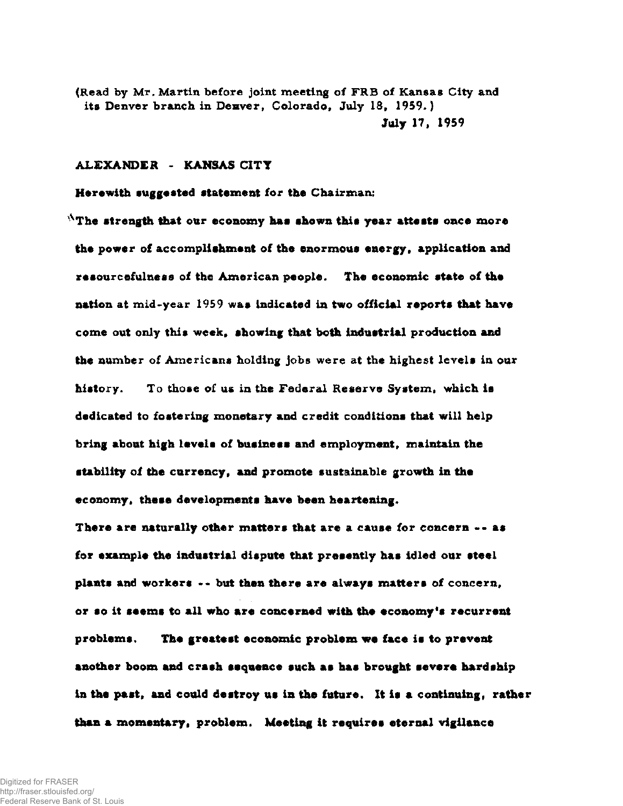**(Read by Mr. Martin before joint meeting of FRB of Kansas City and its Denver branch in Denver, Colorado, July 18, 1959. ) July 17, 1959** 

## **ALEXANDER - KANSAS CITY**

**Herewith suggested statement lor the Chairman:** 

**<sup>x</sup>The strength that our economy has shown this year attests once more the power of accomplishment of the enormous energy, application and resourcefulness of the American people. The economic state of the nation at mid-year 1959 was indicated in two official reports that have come out only this week, showing that both industrial production and the number of Americans holding jobs were at the highest levels in our history. To those of us in the Federal Reserve System, which is dedicated to fostering monetary and credit conditions that will help bring about high levels of business and employment, maintain the stability of the currency, and promote sustainable growth in the economy, these developments have been heartening.** 

**There are naturally other matters that are a cause for concern -- asi for example the industrial dispute that presently has idled our steel plants and workers --• but then there are always matters of concern, or so it seems to all who are concerned with the economy's recurrent problems. The greatest economic problem we face is to prevent another boom and crash sequence such as has brought severe hardship**  in the past, and could destroy us in the future. It is a continuing, rather **than a momentary, problem. Meeting it requires eternal vigilance**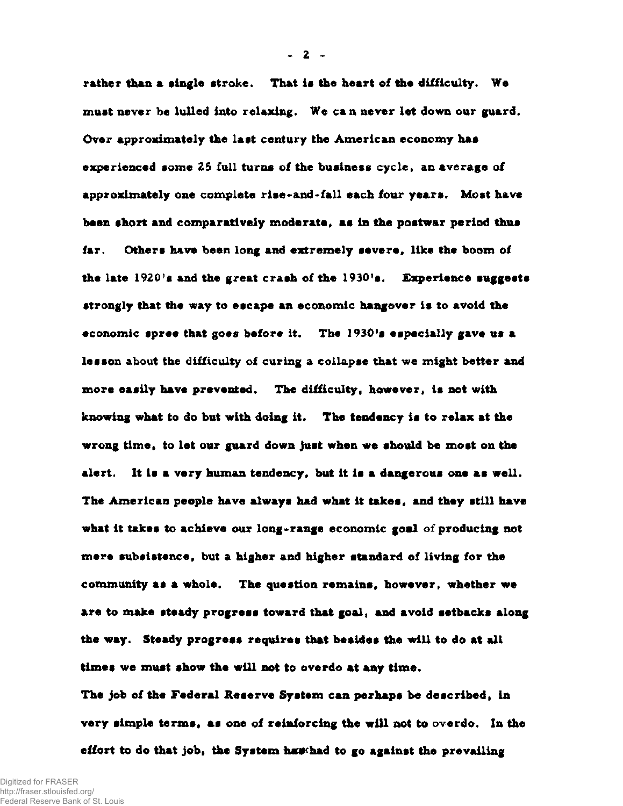**rather than a single stroke. That is the heart of the difficulty. We must never be lulled into relaxing. We can** *never* **let down our guard. Over approximately the last century the American economy has experienced some 25 full turns of the business cycle, an average of approximately one complete rise-and-fall each four years. Most have been short and comparatively moderate, as in the postwar period thus far. Others have been long and extremely** *severe,* **like the boom of the late 1920's and the great crash of the 1930's. Experience suggests strongly that the way to escape an economic hangover is to avoid the economic spree that goes before it. The 1930's especially gave us a lesson about the difficulty of curing a collapse that we might better and more easily have prevented. The difficulty, however, is not with knowing what to do but with doing it. The tendency is to relax at the wrong time, to let our guard down just when we should be most on the alert. It is a very human tendency, but it is a dangerous one as well. The American people have always had what it takes, and they still have what it takes to achieve our long-range economic goal of producing not mere subsistence, but a higher and higher standard of living for the community as a whole. The question remains, however, whether we are to make steady progress toward that goal, and avoid setbacks along the way. Steady progress requires that besides the will to do at all times we must show the will not to overdo at any time.** 

**The job of the Federal Reserve System can perhaps be described, in very simple terms, as one of reinforcing the will not to overdo. In the**  effort to do that job, the System has had to go against the prevailing

**- 2 -**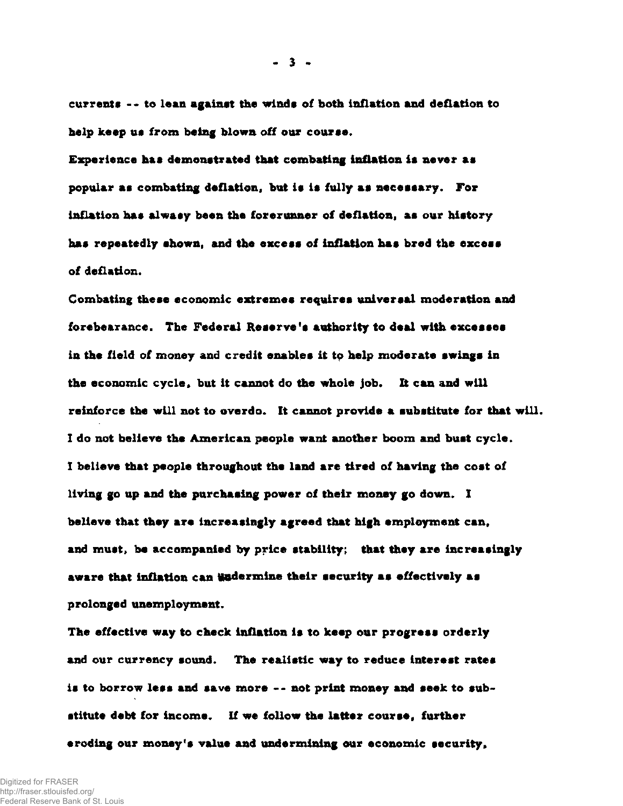**currents --t o lean against the winds of both inflation and deflation to help keep us from being blown off our course.** 

**Experience has demonstrated that combating inflation is never as popular as combating deflation, but is is fully as necessary. For inflation has always been the forerunner of deflation, as our history has repeatedly shown, and the excess of inflation has bred the excess of deflation.** 

**Combating these economic extremes requires universal moderation and forebearance. The Federal Reserve's authority to deal with excesses in the field of money and credit enables it to help moderate swings in the economic cycle, but it cannot do the whole job. It can and will reinforce the will not to overdo. It cannot provide a substitute for that will. I do not believe the American people want another boom and bust cycle. I believe that people throughout the land are tired of having the cost of living go up and the purchasing power of their money go down. I believe that they are increasingly agreed that high employment can, and must, be accompanied by price stability; that they are increasingly**  aware that inflation can **Hadermine** their security as effectively as **prolonged unemployment.** 

**The effective way to check inflation is to keep our progress orderly and our currency sound. The realistic way to reduce interest rates is to borrow less and save more -- not print money and seek to sub stitute debt for income. If we follow the latter course, further eroding our money's value and undermining our economic security,** 

**- 3 -**